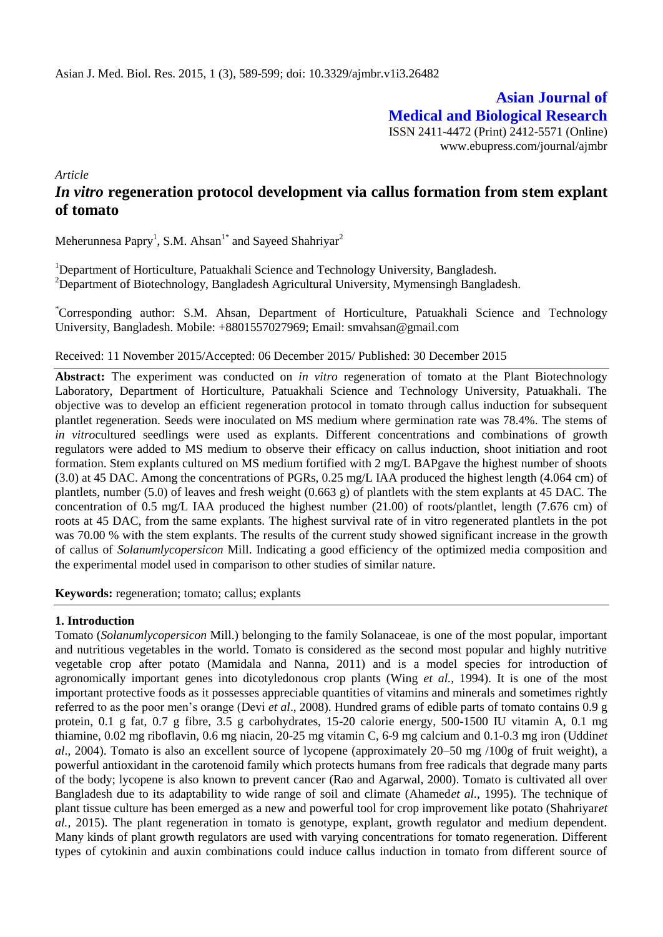**Asian Journal of Medical and Biological Research**

ISSN 2411-4472 (Print) 2412-5571 (Online) www.ebupress.com/journal/ajmbr

*Article*

# *In vitro* **regeneration protocol development via callus formation from stem explant of tomato**

Meherunnesa Papry<sup>1</sup>, S.M. Ahsan<sup>1\*</sup> and Sayeed Shahriyar<sup>2</sup>

<sup>1</sup>Department of Horticulture, Patuakhali Science and Technology University, Bangladesh. <sup>2</sup>Department of Biotechnology, Bangladesh Agricultural University, Mymensingh Bangladesh.

\*Corresponding author: S.M. Ahsan, Department of Horticulture, Patuakhali Science and Technology University, Bangladesh. Mobile: +8801557027969; Email: smvahsan@gmail.com

Received: 11 November 2015/Accepted: 06 December 2015/ Published: 30 December 2015

**Abstract:** The experiment was conducted on *in vitro* regeneration of tomato at the Plant Biotechnology Laboratory, Department of Horticulture, Patuakhali Science and Technology University, Patuakhali. The objective was to develop an efficient regeneration protocol in tomato through callus induction for subsequent plantlet regeneration. Seeds were inoculated on MS medium where germination rate was 78.4%. The stems of *in vitro*cultured seedlings were used as explants. Different concentrations and combinations of growth regulators were added to MS medium to observe their efficacy on callus induction, shoot initiation and root formation. Stem explants cultured on MS medium fortified with 2 mg/L BAPgave the highest number of shoots (3.0) at 45 DAC. Among the concentrations of PGRs, 0.25 mg/L IAA produced the highest length (4.064 cm) of plantlets, number (5.0) of leaves and fresh weight (0.663 g) of plantlets with the stem explants at 45 DAC. The concentration of 0.5 mg/L IAA produced the highest number (21.00) of roots/plantlet, length (7.676 cm) of roots at 45 DAC, from the same explants. The highest survival rate of in vitro regenerated plantlets in the pot was 70.00 % with the stem explants. The results of the current study showed significant increase in the growth of callus of *Solanumlycopersicon* Mill. Indicating a good efficiency of the optimized media composition and the experimental model used in comparison to other studies of similar nature.

**Keywords:** regeneration; tomato; callus; explants

### **1. Introduction**

Tomato (*Solanumlycopersicon* Mill.) belonging to the family Solanaceae, is one of the most popular, important and nutritious vegetables in the world. Tomato is considered as the second most popular and highly nutritive vegetable crop after potato (Mamidala and Nanna, 2011) and is a model species for introduction of agronomically important genes into dicotyledonous crop plants (Wing *et al.,* 1994). It is one of the most important protective foods as it possesses appreciable quantities of vitamins and minerals and sometimes rightly referred to as the poor men's orange (Devi *et al*., 2008). Hundred grams of edible parts of tomato contains 0.9 g protein, 0.1 g fat, 0.7 g fibre, 3.5 g carbohydrates, 15-20 calorie energy, 500-1500 IU vitamin A, 0.1 mg thiamine, 0.02 mg riboflavin, 0.6 mg niacin, 20-25 mg vitamin C, 6-9 mg calcium and 0.1-0.3 mg iron (Uddin*et al*., 2004). Tomato is also an excellent source of lycopene (approximately 20–50 mg /100g of fruit weight), a powerful antioxidant in the carotenoid family which protects humans from free radicals that degrade many parts of the body; lycopene is also known to prevent cancer (Rao and Agarwal, 2000). Tomato is cultivated all over Bangladesh due to its adaptability to wide range of soil and climate (Ahamed*et al.,* 1995). The technique of plant tissue culture has been emerged as a new and powerful tool for crop improvement like potato (Shahriyar*et al.,* 2015). The plant regeneration in tomato is genotype, explant, growth regulator and medium dependent. Many kinds of plant growth regulators are used with varying concentrations for tomato regeneration. Different types of cytokinin and auxin combinations could induce callus induction in tomato from different source of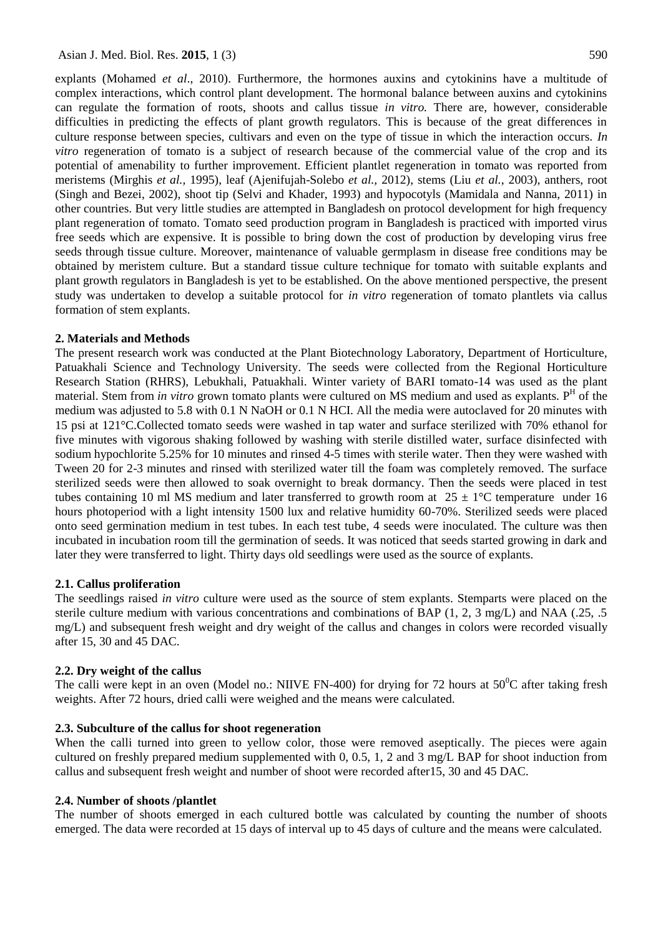explants (Mohamed *et al*., 2010). Furthermore, the hormones auxins and cytokinins have a multitude of complex interactions, which control plant development. The hormonal balance between auxins and cytokinins can regulate the formation of roots, shoots and callus tissue *in vitro.* There are, however, considerable difficulties in predicting the effects of plant growth regulators. This is because of the great differences in culture response between species, cultivars and even on the type of tissue in which the interaction occurs. *In vitro* regeneration of tomato is a subject of research because of the commercial value of the crop and its potential of amenability to further improvement. Efficient plantlet regeneration in tomato was reported from meristems (Mirghis *et al.,* 1995), leaf (Ajenifujah-Solebo *et al.,* 2012), stems (Liu *et al.*, 2003), anthers, root (Singh and Bezei, 2002), shoot tip (Selvi and Khader, 1993) and hypocotyls (Mamidala and Nanna, 2011) in other countries. But very little studies are attempted in Bangladesh on protocol development for high frequency plant regeneration of tomato. Tomato seed production program in Bangladesh is practiced with imported virus free seeds which are expensive. It is possible to bring down the cost of production by developing virus free seeds through tissue culture. Moreover, maintenance of valuable germplasm in disease free conditions may be obtained by meristem culture. But a standard tissue culture technique for tomato with suitable explants and plant growth regulators in Bangladesh is yet to be established. On the above mentioned perspective, the present study was undertaken to develop a suitable protocol for *in vitro* regeneration of tomato plantlets via callus formation of stem explants.

#### **2. Materials and Methods**

The present research work was conducted at the Plant Biotechnology Laboratory, Department of Horticulture, Patuakhali Science and Technology University. The seeds were collected from the Regional Horticulture Research Station (RHRS), Lebukhali, Patuakhali. Winter variety of BARI tomato-14 was used as the plant material. Stem from *in vitro* grown tomato plants were cultured on MS medium and used as explants. P<sup>H</sup> of the medium was adjusted to 5.8 with 0.1 N NaOH or 0.1 N HCI. All the media were autoclaved for 20 minutes with 15 psi at 121°C.Collected tomato seeds were washed in tap water and surface sterilized with 70% ethanol for five minutes with vigorous shaking followed by washing with sterile distilled water, surface disinfected with sodium hypochlorite 5.25% for 10 minutes and rinsed 4-5 times with sterile water. Then they were washed with Tween 20 for 2-3 minutes and rinsed with sterilized water till the foam was completely removed. The surface sterilized seeds were then allowed to soak overnight to break dormancy. Then the seeds were placed in test tubes containing 10 ml MS medium and later transferred to growth room at  $25 \pm 1$ °C temperature under 16 hours photoperiod with a light intensity 1500 lux and relative humidity 60-70%. Sterilized seeds were placed onto seed germination medium in test tubes. In each test tube, 4 seeds were inoculated. The culture was then incubated in incubation room till the germination of seeds. It was noticed that seeds started growing in dark and later they were transferred to light. Thirty days old seedlings were used as the source of explants.

#### **2.1. Callus proliferation**

The seedlings raised *in vitro* culture were used as the source of stem explants. Stemparts were placed on the sterile culture medium with various concentrations and combinations of BAP (1, 2, 3 mg/L) and NAA (.25, .5) mg/L) and subsequent fresh weight and dry weight of the callus and changes in colors were recorded visually after 15, 30 and 45 DAC.

#### **2.2. Dry weight of the callus**

The calli were kept in an oven (Model no.: NIIVE FN-400) for drying for 72 hours at  $50^{\circ}$ C after taking fresh weights. After 72 hours, dried calli were weighed and the means were calculated.

#### **2.3. Subculture of the callus for shoot regeneration**

When the calli turned into green to yellow color, those were removed aseptically. The pieces were again cultured on freshly prepared medium supplemented with 0, 0.5, 1, 2 and 3 mg/L BAP for shoot induction from callus and subsequent fresh weight and number of shoot were recorded after15, 30 and 45 DAC.

#### **2.4. Number of shoots /plantlet**

The number of shoots emerged in each cultured bottle was calculated by counting the number of shoots emerged. The data were recorded at 15 days of interval up to 45 days of culture and the means were calculated.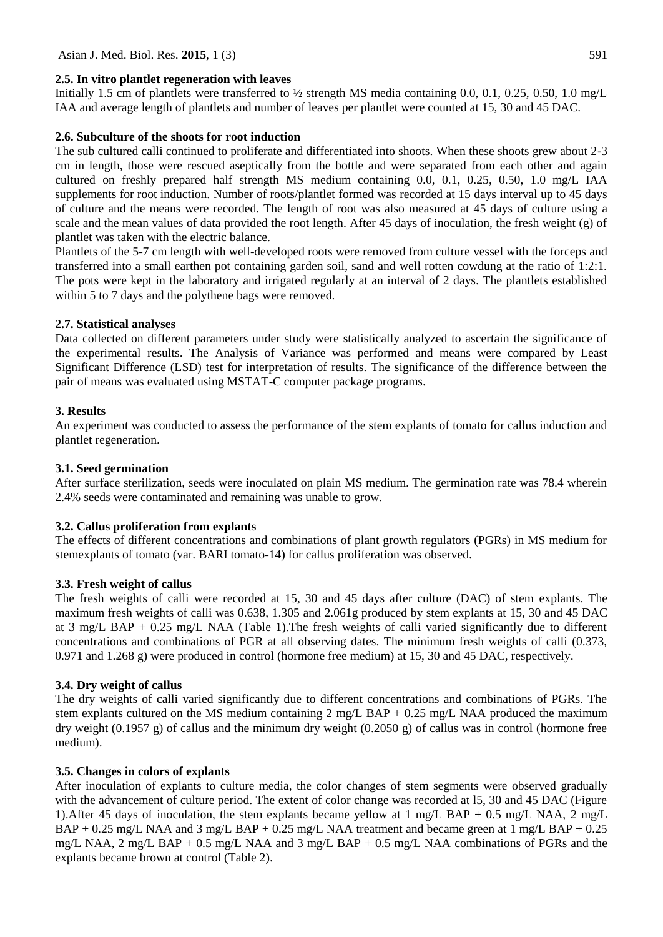## **2.5. In vitro plantlet regeneration with leaves**

Initially 1.5 cm of plantlets were transferred to ½ strength MS media containing 0.0, 0.1, 0.25, 0.50, 1.0 mg/L IAA and average length of plantlets and number of leaves per plantlet were counted at 15, 30 and 45 DAC.

## **2.6. Subculture of the shoots for root induction**

The sub cultured calli continued to proliferate and differentiated into shoots. When these shoots grew about 2-3 cm in length, those were rescued aseptically from the bottle and were separated from each other and again cultured on freshly prepared half strength MS medium containing 0.0, 0.1, 0.25, 0.50, 1.0 mg/L IAA supplements for root induction. Number of roots/plantlet formed was recorded at 15 days interval up to 45 days of culture and the means were recorded. The length of root was also measured at 45 days of culture using a scale and the mean values of data provided the root length. After 45 days of inoculation, the fresh weight (g) of plantlet was taken with the electric balance.

Plantlets of the 5-7 cm length with well-developed roots were removed from culture vessel with the forceps and transferred into a small earthen pot containing garden soil, sand and well rotten cowdung at the ratio of 1:2:1. The pots were kept in the laboratory and irrigated regularly at an interval of 2 days. The plantlets established within 5 to 7 days and the polythene bags were removed.

## **2.7. Statistical analyses**

Data collected on different parameters under study were statistically analyzed to ascertain the significance of the experimental results. The Analysis of Variance was performed and means were compared by Least Significant Difference (LSD) test for interpretation of results. The significance of the difference between the pair of means was evaluated using MSTAT-C computer package programs.

## **3. Results**

An experiment was conducted to assess the performance of the stem explants of tomato for callus induction and plantlet regeneration.

### **3.1. Seed germination**

After surface sterilization, seeds were inoculated on plain MS medium. The germination rate was 78.4 wherein 2.4% seeds were contaminated and remaining was unable to grow.

### **3.2. Callus proliferation from explants**

The effects of different concentrations and combinations of plant growth regulators (PGRs) in MS medium for stemexplants of tomato (var. BARI tomato-14) for callus proliferation was observed.

### **3.3. Fresh weight of callus**

The fresh weights of calli were recorded at 15, 30 and 45 days after culture (DAC) of stem explants. The maximum fresh weights of calli was 0.638, 1.305 and 2.061g produced by stem explants at 15, 30 and 45 DAC at 3 mg/L BAP + 0.25 mg/L NAA (Table 1).The fresh weights of calli varied significantly due to different concentrations and combinations of PGR at all observing dates. The minimum fresh weights of calli (0.373, 0.971 and 1.268 g) were produced in control (hormone free medium) at 15, 30 and 45 DAC, respectively.

## **3.4. Dry weight of callus**

The dry weights of calli varied significantly due to different concentrations and combinations of PGRs. The stem explants cultured on the MS medium containing 2 mg/L BAP + 0.25 mg/L NAA produced the maximum dry weight (0.1957 g) of callus and the minimum dry weight (0.2050 g) of callus was in control (hormone free medium).

## **3.5. Changes in colors of explants**

After inoculation of explants to culture media, the color changes of stem segments were observed gradually with the advancement of culture period. The extent of color change was recorded at 15, 30 and 45 DAC (Figure 1).After 45 days of inoculation, the stem explants became yellow at 1 mg/L BAP + 0.5 mg/L NAA, 2 mg/L BAP + 0.25 mg/L NAA and 3 mg/L BAP + 0.25 mg/L NAA treatment and became green at 1 mg/L BAP + 0.25 mg/L NAA, 2 mg/L BAP + 0.5 mg/L NAA and 3 mg/L BAP + 0.5 mg/L NAA combinations of PGRs and the explants became brown at control (Table 2).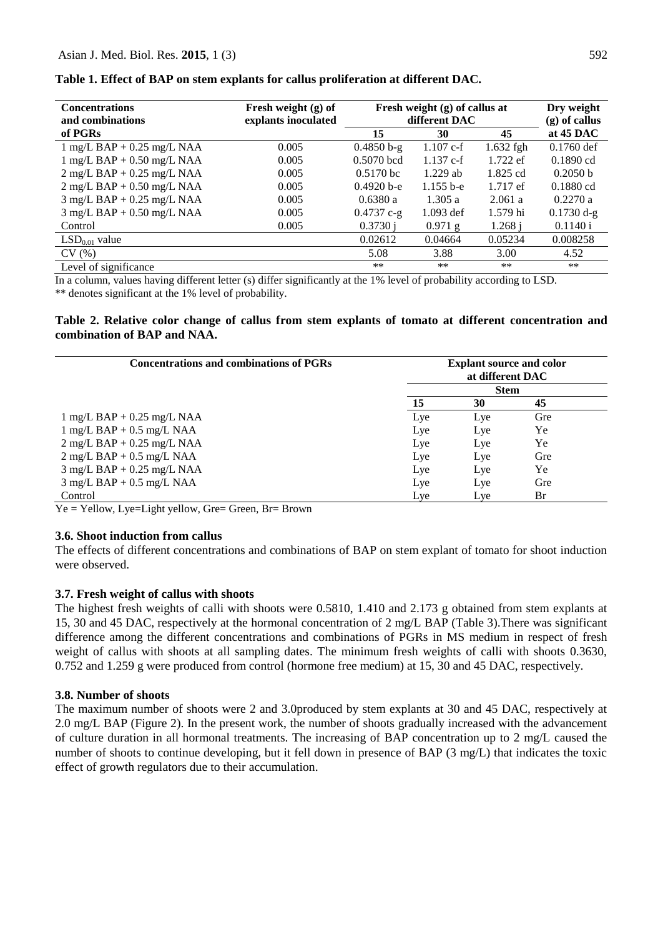| <b>Concentrations</b><br>and combinations      | Fresh weight (g) of<br>explants inoculated | Fresh weight (g) of callus at<br>different DAC | Dry weight<br>$(g)$ of callus |             |              |
|------------------------------------------------|--------------------------------------------|------------------------------------------------|-------------------------------|-------------|--------------|
| of PGRs                                        |                                            | 15                                             | 30                            | 45          | at $45$ DAC  |
| $1$ mg/L BAP + 0.25 mg/L NAA                   | 0.005                                      | $0.4850 b-g$                                   | $1.107$ c-f                   | $1.632$ fgh | $0.1760$ def |
| $1$ mg/L BAP + 0.50 mg/L NAA                   | 0.005                                      | $0.5070$ bcd                                   | $1.137c-f$                    | 1.722 ef    | $0.1890$ cd  |
| $2$ mg/L BAP + 0.25 mg/L NAA                   | 0.005                                      | $0.5170 \text{ bc}$                            | $1.229$ ab                    | 1.825 cd    | 0.2050 b     |
| $2 \text{ mg/L } BAP + 0.50 \text{ mg/L } NAA$ | 0.005                                      | $0.4920$ b-e                                   | $1.155b-e$                    | $1.717$ ef  | $0.1880$ cd  |
| $3$ mg/L BAP + 0.25 mg/L NAA                   | 0.005                                      | 0.6380a                                        | 1.305a                        | 2.061a      | 0.2270a      |
| $3$ mg/L BAP + 0.50 mg/L NAA                   | 0.005                                      | $0.4737$ c-g                                   | $1.093$ def                   | 1.579 hi    | $0.1730 d-g$ |
| Control                                        | 0.005                                      | 0.3730 i                                       | $0.971$ g                     | 1.268 i     | 0.1140 i     |
| $LSD0.01$ value                                |                                            | 0.02612                                        | 0.04664                       | 0.05234     | 0.008258     |
| CV(%)                                          |                                            | 5.08                                           | 3.88                          | 3.00        | 4.52         |
| Level of significance                          |                                            | $**$                                           | $**$                          | $***$       | $***$        |

**Table 1. Effect of BAP on stem explants for callus proliferation at different DAC.**

In a column, values having different letter (s) differ significantly at the 1% level of probability according to LSD. \*\* denotes significant at the 1% level of probability.

**Table 2. Relative color change of callus from stem explants of tomato at different concentration and combination of BAP and NAA.**

| Concentrations and combinations of PGRs | <b>Explant source and color</b><br>at different DAC |             |     |  |  |
|-----------------------------------------|-----------------------------------------------------|-------------|-----|--|--|
|                                         |                                                     | <b>Stem</b> |     |  |  |
|                                         |                                                     | 30          | 45  |  |  |
| $1$ mg/L BAP + 0.25 mg/L NAA            | Lye                                                 | Lye         | Gre |  |  |
| $1$ mg/L BAP + 0.5 mg/L NAA             | Lye                                                 | Lye         | Ye  |  |  |
| $2$ mg/L BAP + 0.25 mg/L NAA            | Lye                                                 | Lye         | Ye  |  |  |
| $2$ mg/L BAP + 0.5 mg/L NAA             | Lye                                                 | Lye         | Gre |  |  |
| $3$ mg/L BAP + 0.25 mg/L NAA            | Lye                                                 | Lye         | Ye  |  |  |
| $3$ mg/L BAP + 0.5 mg/L NAA             | Lye                                                 | Lye         | Gre |  |  |
| Control                                 | Lye                                                 | Lye         | Br  |  |  |

Ye = Yellow, Lye=Light yellow, Gre= Green, Br= Brown

#### **3.6. Shoot induction from callus**

The effects of different concentrations and combinations of BAP on stem explant of tomato for shoot induction were observed.

## **3.7. Fresh weight of callus with shoots**

The highest fresh weights of calli with shoots were 0.5810, 1.410 and 2.173 g obtained from stem explants at 15, 30 and 45 DAC, respectively at the hormonal concentration of 2 mg/L BAP (Table 3).There was significant difference among the different concentrations and combinations of PGRs in MS medium in respect of fresh weight of callus with shoots at all sampling dates. The minimum fresh weights of calli with shoots 0.3630, 0.752 and 1.259 g were produced from control (hormone free medium) at 15, 30 and 45 DAC, respectively.

#### **3.8. Number of shoots**

The maximum number of shoots were 2 and 3.0produced by stem explants at 30 and 45 DAC, respectively at 2.0 mg/L BAP (Figure 2). In the present work, the number of shoots gradually increased with the advancement of culture duration in all hormonal treatments. The increasing of BAP concentration up to 2 mg/L caused the number of shoots to continue developing, but it fell down in presence of BAP (3 mg/L) that indicates the toxic effect of growth regulators due to their accumulation.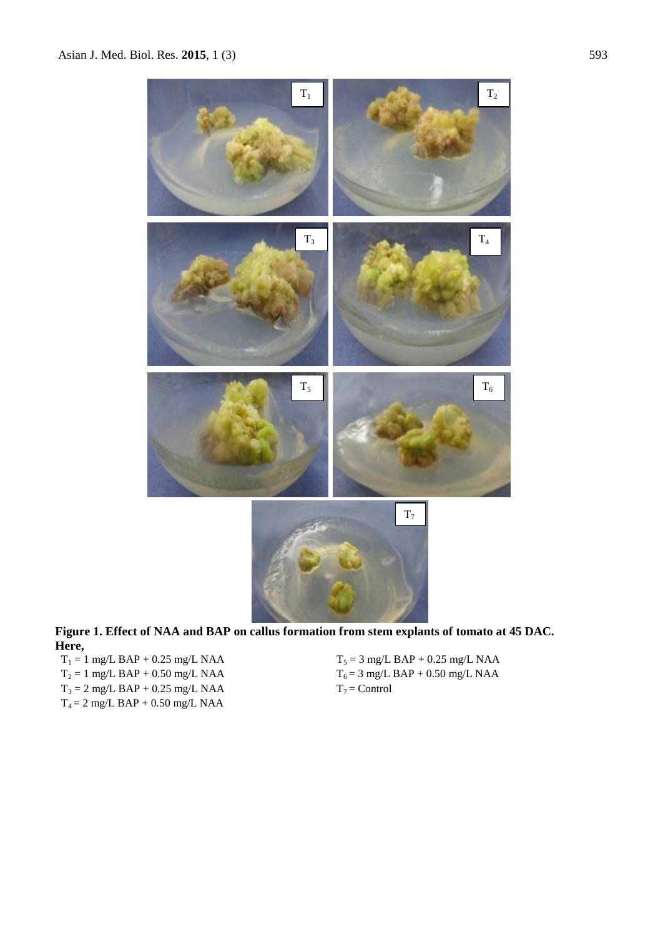

**Figure 1. Effect of NAA and BAP on callus formation from stem explants of tomato at 45 DAC. Here,**

 $T_2 = 1$  mg/L BAP + 0.50 mg/L NAA  $T_6 = 3$  mg/L  $T_7 =$  Control<br>  $T_3 = 2$  mg/L BAP + 0.25 mg/L NAA  $T_7 =$  Control  $T_3 = 2$  mg/L BAP + 0.25 mg/L NAA  $T_4 = 2$  mg/L BAP + 0.50 mg/L NAA

 $T_1 = 1 \text{ mg/L } BAP + 0.25 \text{ mg/L } NAA \qquad \qquad T_5 = 3 \text{ mg/L } BAP + 0.25 \text{ mg/L } NAA \qquad \qquad T_6 = 3 \text{ mg/L } BAP + 0.50 \text{ mg/L } NAA \qquad \qquad T_7 = 3 \text{ mg/L } BAP + 0.50 \text{ mg/L } NAA \qquad \qquad T_8 = 3 \text{ mg/L } BAP + 0.50 \text{ mg/L } NAA \qquad \qquad T_9 = 3 \text{ mg/L } BAP + 0.50 \text{ mg/L } NAA \qquad \qquad T_9 = 3 \text{ mg/L } BAP +$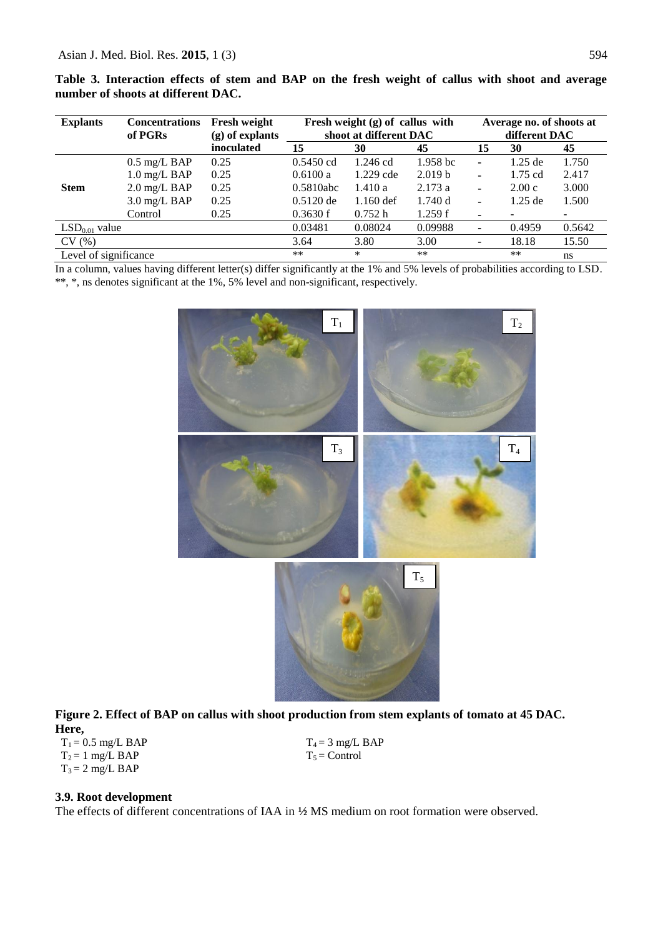| <b>Explants</b>       | <b>Concentrations</b><br>of PGRs | <b>Fresh weight</b><br>$(g)$ of explants | Fresh weight $(g)$ of callus with<br>shoot at different DAC | Average no. of shoots at<br>different DAC |                     |                          |           |               |
|-----------------------|----------------------------------|------------------------------------------|-------------------------------------------------------------|-------------------------------------------|---------------------|--------------------------|-----------|---------------|
|                       |                                  | inoculated                               | 15                                                          | 30                                        | 45                  | 15                       | 30        | 45            |
|                       | $0.5 \text{ mg/L }$ BAP          | 0.25                                     | $0.5450$ cd                                                 | 1.246 cd                                  | 1.958 <sub>bc</sub> | ۰                        | $1.25$ de | 1.750         |
|                       | $1.0$ mg/L BAP                   | 0.25                                     | 0.6100 a                                                    | $1.229$ cde                               | 2.019 <sub>b</sub>  | $\overline{\phantom{0}}$ | $1.75$ cd | 2.417         |
| <b>Stem</b>           | $2.0 \text{ mg/L }$ BAP          | 0.25                                     | 0.5810abc                                                   | 1.410a                                    | 2.173a              | $\blacksquare$           | 2.00c     | 3.000         |
|                       | $3.0 \text{ mg/L }$ BAP          | 0.25                                     | $0.5120$ de                                                 | $1.160$ def                               | 1.740 d             | ٠                        | $1.25$ de | 1.500         |
|                       | Control                          | 0.25                                     | 0.3630 f                                                    | 0.752 h                                   | 1.259f              | ۰                        |           |               |
| $LSD0.01$ value       |                                  |                                          | 0.03481                                                     | 0.08024                                   | 0.09988             | ۰                        | 0.4959    | 0.5642        |
| CV(%)                 |                                  |                                          | 3.64                                                        | 3.80                                      | 3.00                | ۰                        | 18.18     | 15.50         |
| Level of significance |                                  |                                          | $**$                                                        | $\ast$                                    | $**$                |                          | $**$      | <sub>ns</sub> |

**Table 3. Interaction effects of stem and BAP on the fresh weight of callus with shoot and average number of shoots at different DAC.** 

In a column, values having different letter(s) differ significantly at the 1% and 5% levels of probabilities according to LSD. \*\*, \*, ns denotes significant at the 1%, 5% level and non-significant, respectively.



**Figure 2. Effect of BAP on callus with shoot production from stem explants of tomato at 45 DAC. Here,**

 $T_1 = 0.5$  mg/L BAP  $T_4 = 3$  mg/L BAP  $T_2 = 1$  mg/L BAP  $T_5 =$  Control  $T_3 = 2$  mg/L BAP

### **3.9. Root development**

The effects of different concentrations of IAA in **½** MS medium on root formation were observed.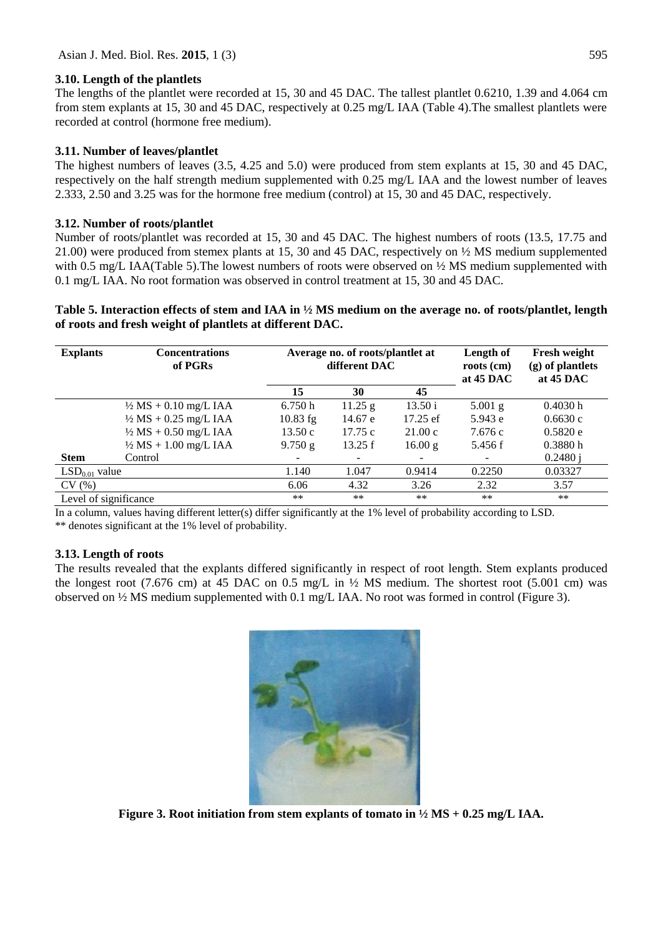## **3.10. Length of the plantlets**

The lengths of the plantlet were recorded at 15, 30 and 45 DAC. The tallest plantlet 0.6210, 1.39 and 4.064 cm from stem explants at 15, 30 and 45 DAC, respectively at 0.25 mg/L IAA (Table 4).The smallest plantlets were recorded at control (hormone free medium).

## **3.11. Number of leaves/plantlet**

The highest numbers of leaves (3.5, 4.25 and 5.0) were produced from stem explants at 15, 30 and 45 DAC, respectively on the half strength medium supplemented with 0.25 mg/L IAA and the lowest number of leaves 2.333, 2.50 and 3.25 was for the hormone free medium (control) at 15, 30 and 45 DAC, respectively.

## **3.12. Number of roots/plantlet**

Number of roots/plantlet was recorded at 15, 30 and 45 DAC. The highest numbers of roots (13.5, 17.75 and 21.00) were produced from stemex plants at 15, 30 and 45 DAC, respectively on ½ MS medium supplemented with 0.5 mg/L IAA(Table 5). The lowest numbers of roots were observed on  $\frac{1}{2}$  MS medium supplemented with 0.1 mg/L IAA. No root formation was observed in control treatment at 15, 30 and 45 DAC.

**Table 5. Interaction effects of stem and IAA in ½ MS medium on the average no. of roots/plantlet, length of roots and fresh weight of plantlets at different DAC.**

| <b>Explants</b>       | <b>Concentrations</b><br>of PGRs |            | Average no. of roots/plantlet at<br>different DAC |          |           | Fresh weight<br>$(g)$ of plantlets<br>at $45$ DAC |  |
|-----------------------|----------------------------------|------------|---------------------------------------------------|----------|-----------|---------------------------------------------------|--|
|                       |                                  | 15         | 30                                                | 45       |           |                                                   |  |
|                       | $\frac{1}{2} MS + 0.10$ mg/L IAA | 6.750h     | 11.25 g                                           | 13.50 i  | $5.001$ g | 0.4030h                                           |  |
|                       | $\frac{1}{2} MS + 0.25$ mg/L IAA | $10.83$ fg | 14.67 e                                           | 17.25 ef | 5.943 e   | 0.6630c                                           |  |
|                       | $\frac{1}{2} MS + 0.50$ mg/L IAA | 13.50c     | 17.75c                                            | 21.00c   | 7.676 c   | 0.5820e                                           |  |
|                       | $\frac{1}{2} MS + 1.00$ mg/L IAA | 9.750 g    | 13.25 f                                           | 16.00 g  | 5.456 f   | 0.3880h                                           |  |
| <b>Stem</b>           | Control                          |            |                                                   |          | -         | 0.2480 i                                          |  |
| $LSD0.01$ value       |                                  | 1.140      | 1.047                                             | 0.9414   | 0.2250    | 0.03327                                           |  |
| CV(%)                 |                                  | 6.06       | 4.32                                              | 3.26     | 2.32      | 3.57                                              |  |
| Level of significance |                                  | $**$       | $**$                                              | **       | **        | $**$                                              |  |

In a column, values having different letter(s) differ significantly at the 1% level of probability according to LSD. \*\* denotes significant at the 1% level of probability.

## **3.13. Length of roots**

The results revealed that the explants differed significantly in respect of root length. Stem explants produced the longest root (7.676 cm) at 45 DAC on 0.5 mg/L in  $\frac{1}{2}$  MS medium. The shortest root (5.001 cm) was observed on ½ MS medium supplemented with 0.1 mg/L IAA. No root was formed in control (Figure 3).



**Figure 3. Root initiation from stem explants of tomato in ½ MS + 0.25 mg/L IAA.**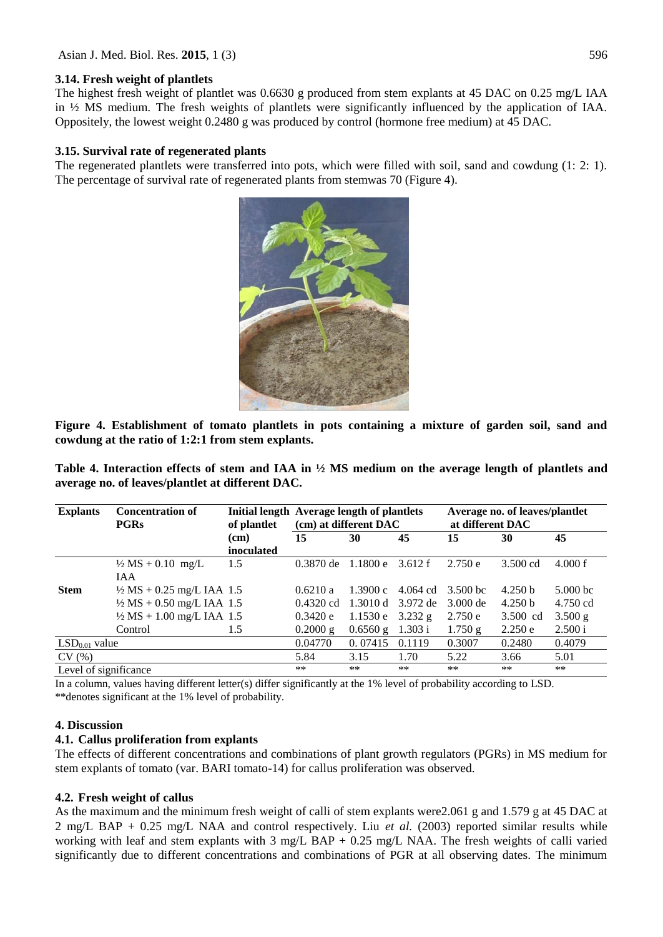### **3.14. Fresh weight of plantlets**

The highest fresh weight of plantlet was 0.6630 g produced from stem explants at 45 DAC on 0.25 mg/L IAA in ½ MS medium. The fresh weights of plantlets were significantly influenced by the application of IAA. Oppositely, the lowest weight 0.2480 g was produced by control (hormone free medium) at 45 DAC.

### **3.15. Survival rate of regenerated plants**

The regenerated plantlets were transferred into pots, which were filled with soil, sand and cowdung (1: 2: 1). The percentage of survival rate of regenerated plants from stemwas 70 (Figure 4).



**Figure 4. Establishment of tomato plantlets in pots containing a mixture of garden soil, sand and cowdung at the ratio of 1:2:1 from stem explants.**

**Table 4. Interaction effects of stem and IAA in ½ MS medium on the average length of plantlets and average no. of leaves/plantlet at different DAC.**

| <b>Explants</b>       | <b>Concentration of</b><br><b>PGRs</b>                                       | of plantlet        | Initial length Average length of plantlets<br>(cm) at different DAC |                       |                      | Average no. of leaves/plantlet<br>at different DAC |                               |                        |  |
|-----------------------|------------------------------------------------------------------------------|--------------------|---------------------------------------------------------------------|-----------------------|----------------------|----------------------------------------------------|-------------------------------|------------------------|--|
|                       |                                                                              | (cm)<br>inoculated | 15                                                                  | 30                    | 45                   | 15                                                 | 30                            | 45                     |  |
|                       | $\frac{1}{2} MS + 0.10$ mg/L<br>IAA                                          | 1.5                | $0.3870$ de                                                         | 1.1800 e              | 3.612 f              | 2.750e                                             | $3.500 \text{ cd}$            | 4.000 f                |  |
| <b>Stem</b>           | $\frac{1}{2} MS + 0.25$ mg/L IAA 1.5<br>$\frac{1}{2}$ MS + 0.50 mg/L IAA 1.5 |                    | 0.6210 a<br>$0.4320$ cd                                             | 1.3900c<br>1.3010 d   | 4.064 cd<br>3.972 de | 3.500 bc<br>3.000 de                               | 4.250 <sub>b</sub><br>4.250 b | $5.000$ bc<br>4.750 cd |  |
|                       | $\frac{1}{2} MS + 1.00$ mg/L IAA 1.5<br>Control                              | 1.5                | 0.3420e<br>$0.2000$ g                                               | 1.1530e<br>$0.6560$ g | $3.232$ g<br>1.303 i | 2.750 e<br>1.750 g                                 | 3.500 cd<br>2.250 e           | 3.500 g<br>2.500 i     |  |
| $LSD0.01$ value       |                                                                              |                    | 0.04770                                                             | 0.07415               | 0.1119               | 0.3007                                             | 0.2480                        | 0.4079                 |  |
| CV(%)                 |                                                                              |                    | 5.84                                                                | 3.15                  | 1.70                 | 5.22                                               | 3.66                          | 5.01                   |  |
| Level of significance |                                                                              |                    | **                                                                  | **                    | $**$                 | **                                                 | **                            | $***$                  |  |

In a column, values having different letter(s) differ significantly at the 1% level of probability according to LSD. \*\*denotes significant at the 1% level of probability.

## **4. Discussion**

### **4.1. Callus proliferation from explants**

The effects of different concentrations and combinations of plant growth regulators (PGRs) in MS medium for stem explants of tomato (var. BARI tomato-14) for callus proliferation was observed.

### **4.2. Fresh weight of callus**

As the maximum and the minimum fresh weight of calli of stem explants were2.061 g and 1.579 g at 45 DAC at 2 mg/L BAP + 0.25 mg/L NAA and control respectively. Liu *et al.* (2003) reported similar results while working with leaf and stem explants with 3 mg/L BAP + 0.25 mg/L NAA. The fresh weights of calli varied significantly due to different concentrations and combinations of PGR at all observing dates. The minimum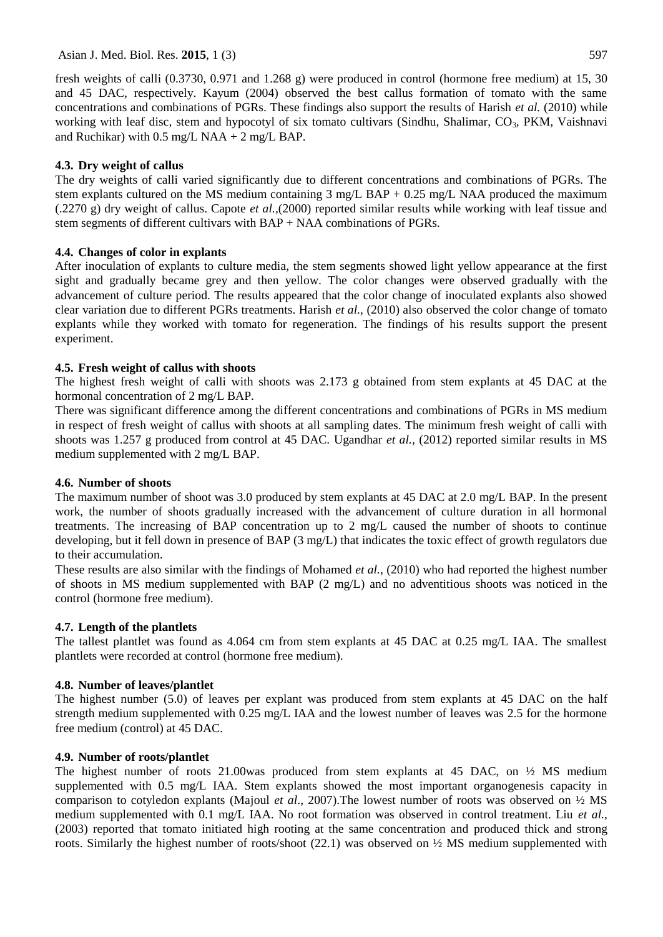fresh weights of calli (0.3730, 0.971 and 1.268 g) were produced in control (hormone free medium) at 15, 30 and 45 DAC, respectively. Kayum (2004) observed the best callus formation of tomato with the same concentrations and combinations of PGRs. These findings also support the results of Harish *et al.* (2010) while working with leaf disc, stem and hypocotyl of six tomato cultivars (Sindhu, Shalimar,  $CO<sub>3</sub>$ , PKM, Vaishnavi and Ruchikar) with  $0.5$  mg/L NAA + 2 mg/L BAP.

## **4.3. Dry weight of callus**

The dry weights of calli varied significantly due to different concentrations and combinations of PGRs. The stem explants cultured on the MS medium containing 3 mg/L BAP + 0.25 mg/L NAA produced the maximum (.2270 g) dry weight of callus. Capote *et al.,*(2000) reported similar results while working with leaf tissue and stem segments of different cultivars with BAP + NAA combinations of PGRs.

## **4.4. Changes of color in explants**

After inoculation of explants to culture media, the stem segments showed light yellow appearance at the first sight and gradually became grey and then yellow. The color changes were observed gradually with the advancement of culture period. The results appeared that the color change of inoculated explants also showed clear variation due to different PGRs treatments. Harish *et al.,* (2010) also observed the color change of tomato explants while they worked with tomato for regeneration. The findings of his results support the present experiment.

## **4.5. Fresh weight of callus with shoots**

The highest fresh weight of calli with shoots was 2.173 g obtained from stem explants at 45 DAC at the hormonal concentration of 2 mg/L BAP.

There was significant difference among the different concentrations and combinations of PGRs in MS medium in respect of fresh weight of callus with shoots at all sampling dates. The minimum fresh weight of calli with shoots was 1.257 g produced from control at 45 DAC. Ugandhar *et al.,* (2012) reported similar results in MS medium supplemented with 2 mg/L BAP.

### **4.6. Number of shoots**

The maximum number of shoot was 3.0 produced by stem explants at 45 DAC at 2.0 mg/L BAP. In the present work, the number of shoots gradually increased with the advancement of culture duration in all hormonal treatments. The increasing of BAP concentration up to 2 mg/L caused the number of shoots to continue developing, but it fell down in presence of BAP (3 mg/L) that indicates the toxic effect of growth regulators due to their accumulation.

These results are also similar with the findings of Mohamed *et al.,* (2010) who had reported the highest number of shoots in MS medium supplemented with BAP (2 mg/L) and no adventitious shoots was noticed in the control (hormone free medium).

### **4.7. Length of the plantlets**

The tallest plantlet was found as 4.064 cm from stem explants at 45 DAC at 0.25 mg/L IAA. The smallest plantlets were recorded at control (hormone free medium).

### **4.8. Number of leaves/plantlet**

The highest number (5.0) of leaves per explant was produced from stem explants at 45 DAC on the half strength medium supplemented with 0.25 mg/L IAA and the lowest number of leaves was 2.5 for the hormone free medium (control) at 45 DAC.

### **4.9. Number of roots/plantlet**

The highest number of roots 21.00was produced from stem explants at 45 DAC, on  $\frac{1}{2}$  MS medium supplemented with 0.5 mg/L IAA. Stem explants showed the most important organogenesis capacity in comparison to cotyledon explants (Majoul *et al*., 2007).The lowest number of roots was observed on ½ MS medium supplemented with 0.1 mg/L IAA. No root formation was observed in control treatment. Liu *et al.,* (2003) reported that tomato initiated high rooting at the same concentration and produced thick and strong roots. Similarly the highest number of roots/shoot  $(22.1)$  was observed on  $\frac{1}{2}$  MS medium supplemented with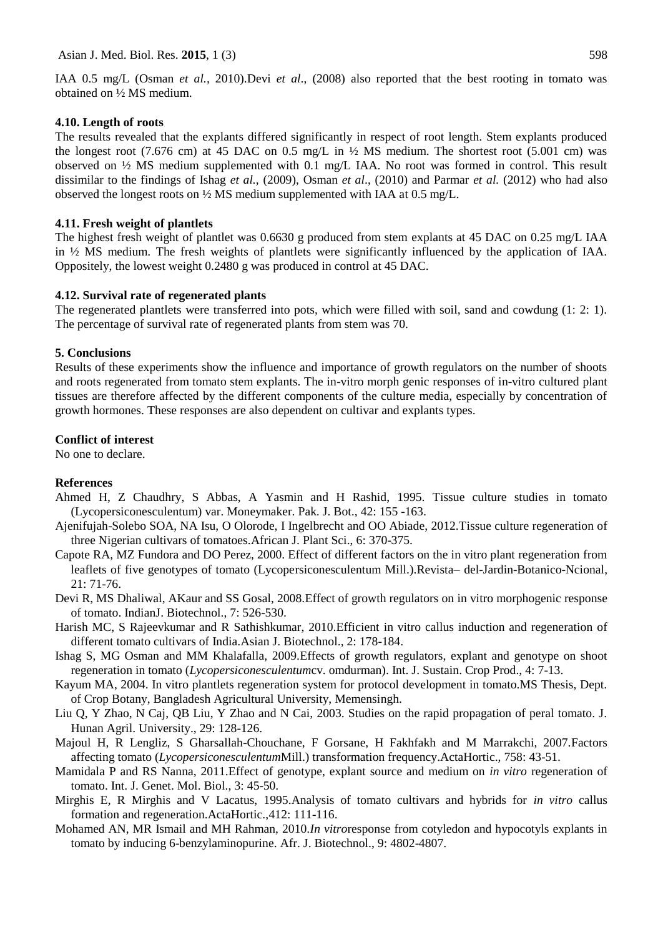IAA 0.5 mg/L (Osman *et al.,* 2010).Devi *et al*., (2008) also reported that the best rooting in tomato was obtained on ½ MS medium.

#### **4.10. Length of roots**

The results revealed that the explants differed significantly in respect of root length. Stem explants produced the longest root (7.676 cm) at 45 DAC on 0.5 mg/L in  $\frac{1}{2}$  MS medium. The shortest root (5.001 cm) was observed on ½ MS medium supplemented with 0.1 mg/L IAA. No root was formed in control. This result dissimilar to the findings of Ishag *et al.,* (2009), Osman *et al*., (2010) and Parmar *et al.* (2012) who had also observed the longest roots on ½ MS medium supplemented with IAA at 0.5 mg/L.

### **4.11. Fresh weight of plantlets**

The highest fresh weight of plantlet was 0.6630 g produced from stem explants at 45 DAC on 0.25 mg/L IAA in ½ MS medium. The fresh weights of plantlets were significantly influenced by the application of IAA. Oppositely, the lowest weight 0.2480 g was produced in control at 45 DAC.

### **4.12. Survival rate of regenerated plants**

The regenerated plantlets were transferred into pots, which were filled with soil, sand and cowdung (1: 2: 1). The percentage of survival rate of regenerated plants from stem was 70.

#### **5. Conclusions**

Results of these experiments show the influence and importance of growth regulators on the number of shoots and roots regenerated from tomato stem explants. The in-vitro morph genic responses of in-vitro cultured plant tissues are therefore affected by the different components of the culture media, especially by concentration of growth hormones. These responses are also dependent on cultivar and explants types.

### **Conflict of interest**

No one to declare.

#### **References**

- Ahmed H, Z Chaudhry, S Abbas, A Yasmin and H Rashid, 1995. Tissue culture studies in tomato (Lycopersiconesculentum) var. Moneymaker. Pak. J. Bot., 42: 155 -163.
- Ajenifujah-Solebo SOA, NA Isu, O Olorode, I Ingelbrecht and OO Abiade, 2012.Tissue culture regeneration of three Nigerian cultivars of tomatoes.African J. Plant Sci., 6: 370-375.
- Capote RA, MZ Fundora and DO Perez, 2000. Effect of different factors on the in vitro plant regeneration from leaflets of five genotypes of tomato (Lycopersiconesculentum Mill.).Revista– del-Jardin-Botanico-Ncional, 21: 71-76.
- Devi R, MS Dhaliwal, AKaur and SS Gosal, 2008.Effect of growth regulators on in vitro morphogenic response of tomato. IndianJ. Biotechnol., 7: 526-530.
- Harish MC, S Rajeevkumar and R Sathishkumar, 2010.Efficient in vitro callus induction and regeneration of different tomato cultivars of India.Asian J. Biotechnol., 2: 178-184.
- Ishag S, MG Osman and MM Khalafalla, 2009.Effects of growth regulators, explant and genotype on shoot regeneration in tomato (*Lycopersiconesculentum*cv. omdurman). Int. J. Sustain. Crop Prod., 4: 7-13.
- Kayum MA, 2004. In vitro plantlets regeneration system for protocol development in tomato.MS Thesis, Dept. of Crop Botany, Bangladesh Agricultural University, Memensingh.
- Liu Q, Y Zhao, N Caj, QB Liu, Y Zhao and N Cai, 2003. Studies on the rapid propagation of peral tomato. J. Hunan Agril. University., 29: 128-126.
- Majoul H, R Lengliz, S Gharsallah-Chouchane, F Gorsane, H Fakhfakh and M Marrakchi, 2007.Factors affecting tomato (*Lycopersiconesculentum*Mill.) transformation frequency.ActaHortic., 758: 43-51.
- Mamidala P and RS Nanna, 2011.Effect of genotype, explant source and medium on *in vitro* regeneration of tomato. Int. J. Genet. Mol. Biol., 3: 45-50.
- Mirghis E, R Mirghis and V Lacatus, 1995.Analysis of tomato cultivars and hybrids for *in vitro* callus formation and regeneration.ActaHortic.,412: 111-116.
- Mohamed AN, MR Ismail and MH Rahman, 2010.*In vitro*response from cotyledon and hypocotyls explants in tomato by inducing 6-benzylaminopurine. Afr. J. Biotechnol., 9: 4802-4807.